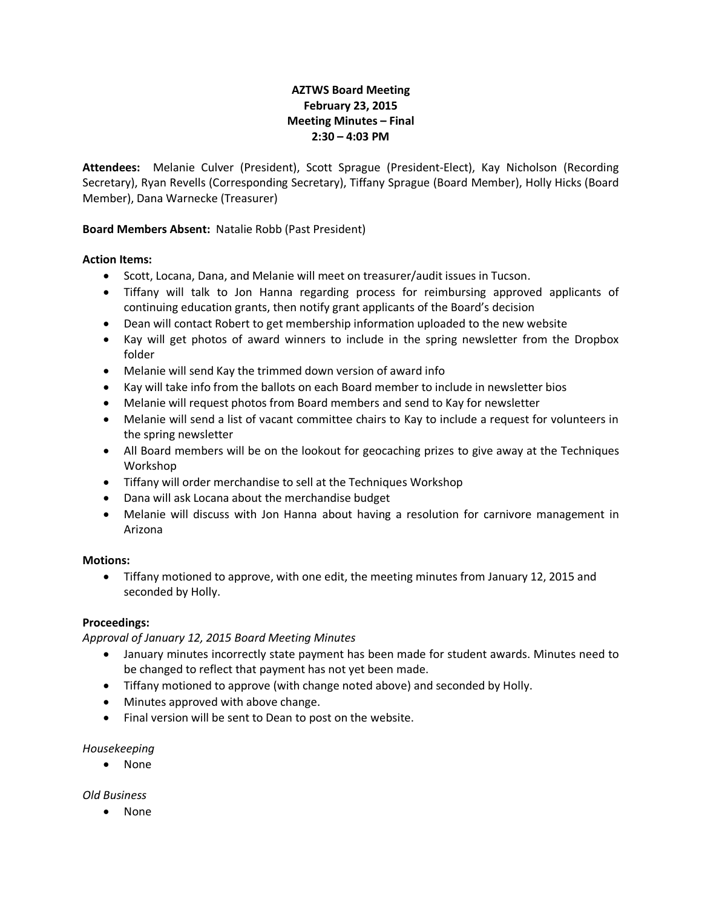## **AZTWS Board Meeting February 23, 2015 Meeting Minutes – Final 2:30 – 4:03 PM**

**Attendees:** Melanie Culver (President), Scott Sprague (President-Elect), Kay Nicholson (Recording Secretary), Ryan Revells (Corresponding Secretary), Tiffany Sprague (Board Member), Holly Hicks (Board Member), Dana Warnecke (Treasurer)

## **Board Members Absent:** Natalie Robb (Past President)

#### **Action Items:**

- Scott, Locana, Dana, and Melanie will meet on treasurer/audit issues in Tucson.
- Tiffany will talk to Jon Hanna regarding process for reimbursing approved applicants of continuing education grants, then notify grant applicants of the Board's decision
- Dean will contact Robert to get membership information uploaded to the new website
- Kay will get photos of award winners to include in the spring newsletter from the Dropbox folder
- Melanie will send Kay the trimmed down version of award info
- Kay will take info from the ballots on each Board member to include in newsletter bios
- Melanie will request photos from Board members and send to Kay for newsletter
- Melanie will send a list of vacant committee chairs to Kay to include a request for volunteers in the spring newsletter
- All Board members will be on the lookout for geocaching prizes to give away at the Techniques Workshop
- Tiffany will order merchandise to sell at the Techniques Workshop
- Dana will ask Locana about the merchandise budget
- Melanie will discuss with Jon Hanna about having a resolution for carnivore management in Arizona

#### **Motions:**

 Tiffany motioned to approve, with one edit, the meeting minutes from January 12, 2015 and seconded by Holly.

#### **Proceedings:**

*Approval of January 12, 2015 Board Meeting Minutes*

- January minutes incorrectly state payment has been made for student awards. Minutes need to be changed to reflect that payment has not yet been made.
- Tiffany motioned to approve (with change noted above) and seconded by Holly.
- Minutes approved with above change.
- Final version will be sent to Dean to post on the website.

#### *Housekeeping*

• None

*Old Business*

None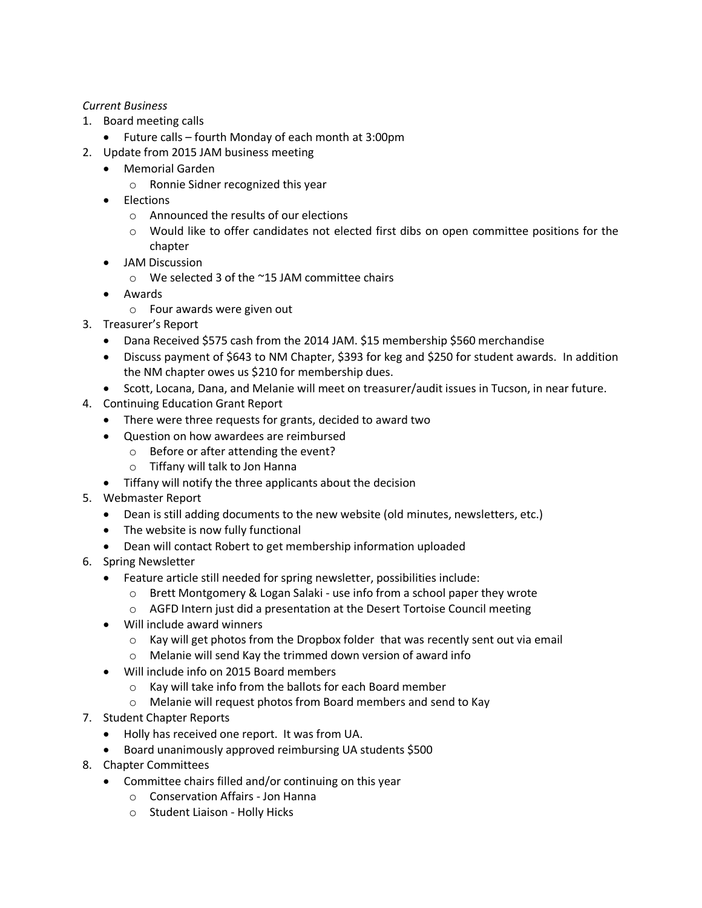## *Current Business*

- 1. Board meeting calls
	- Future calls fourth Monday of each month at 3:00pm
- 2. Update from 2015 JAM business meeting
	- Memorial Garden
		- o Ronnie Sidner recognized this year
	- Elections
		- o Announced the results of our elections
		- o Would like to offer candidates not elected first dibs on open committee positions for the chapter
	- JAM Discussion
		- o We selected 3 of the ~15 JAM committee chairs
	- Awards
		- o Four awards were given out
- 3. Treasurer's Report
	- Dana Received \$575 cash from the 2014 JAM. \$15 membership \$560 merchandise
	- Discuss payment of \$643 to NM Chapter, \$393 for keg and \$250 for student awards. In addition the NM chapter owes us \$210 for membership dues.
	- Scott, Locana, Dana, and Melanie will meet on treasurer/audit issues in Tucson, in near future.
- 4. Continuing Education Grant Report
	- There were three requests for grants, decided to award two
	- Question on how awardees are reimbursed
		- o Before or after attending the event?
		- o Tiffany will talk to Jon Hanna
	- Tiffany will notify the three applicants about the decision
- 5. Webmaster Report
	- Dean is still adding documents to the new website (old minutes, newsletters, etc.)
	- The website is now fully functional
	- Dean will contact Robert to get membership information uploaded
- 6. Spring Newsletter
	- Feature article still needed for spring newsletter, possibilities include:
		- o Brett Montgomery & Logan Salaki use info from a school paper they wrote
		- o AGFD Intern just did a presentation at the Desert Tortoise Council meeting
	- Will include award winners
		- $\circ$  Kay will get photos from the Dropbox folder that was recently sent out via email
		- o Melanie will send Kay the trimmed down version of award info
	- Will include info on 2015 Board members
		- o Kay will take info from the ballots for each Board member
		- o Melanie will request photos from Board members and send to Kay
- 7. Student Chapter Reports
	- Holly has received one report. It was from UA.
	- Board unanimously approved reimbursing UA students \$500
- 8. Chapter Committees
	- Committee chairs filled and/or continuing on this year
		- o Conservation Affairs Jon Hanna
		- o Student Liaison Holly Hicks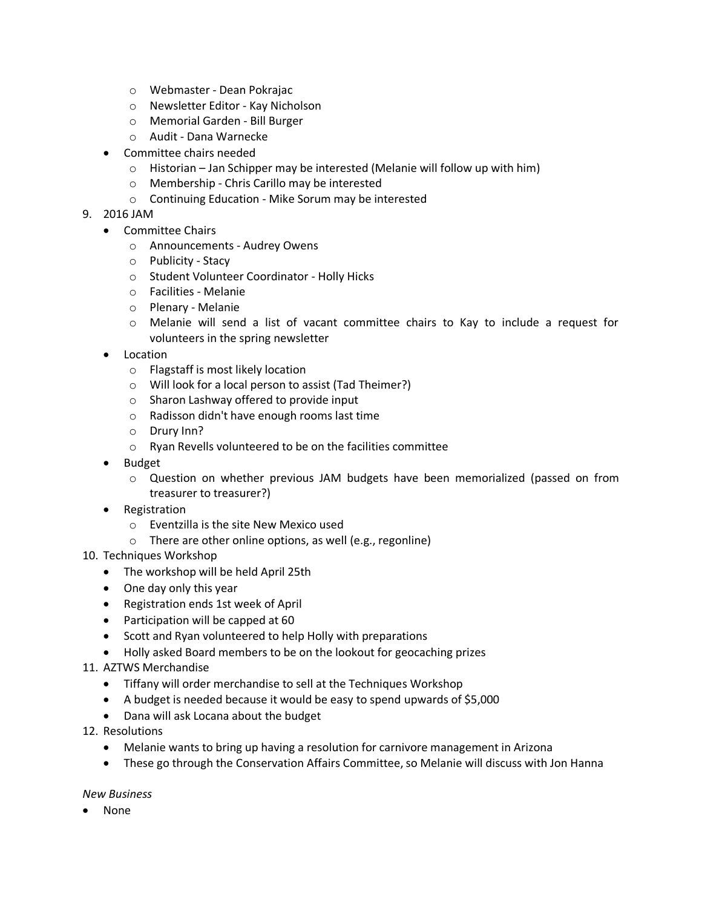- o Webmaster Dean Pokrajac
- o Newsletter Editor Kay Nicholson
- o Memorial Garden Bill Burger
- o Audit Dana Warnecke
- Committee chairs needed
	- o Historian Jan Schipper may be interested (Melanie will follow up with him)
	- o Membership Chris Carillo may be interested
	- o Continuing Education Mike Sorum may be interested

### 9. 2016 JAM

- Committee Chairs
	- o Announcements Audrey Owens
	- o Publicity Stacy
	- o Student Volunteer Coordinator Holly Hicks
	- o Facilities Melanie
	- o Plenary Melanie
	- o Melanie will send a list of vacant committee chairs to Kay to include a request for volunteers in the spring newsletter
- Location
	- o Flagstaff is most likely location
	- o Will look for a local person to assist (Tad Theimer?)
	- o Sharon Lashway offered to provide input
	- o Radisson didn't have enough rooms last time
	- o Drury Inn?
	- o Ryan Revells volunteered to be on the facilities committee
- Budget
	- o Question on whether previous JAM budgets have been memorialized (passed on from treasurer to treasurer?)
- Registration
	- o Eventzilla is the site New Mexico used
	- o There are other online options, as well (e.g., regonline)
- 10. Techniques Workshop
	- The workshop will be held April 25th
	- One day only this year
	- Registration ends 1st week of April
	- Participation will be capped at 60
	- Scott and Ryan volunteered to help Holly with preparations
	- Holly asked Board members to be on the lookout for geocaching prizes
- 11. AZTWS Merchandise
	- Tiffany will order merchandise to sell at the Techniques Workshop
	- A budget is needed because it would be easy to spend upwards of \$5,000
	- Dana will ask Locana about the budget
- 12. Resolutions
	- Melanie wants to bring up having a resolution for carnivore management in Arizona
	- These go through the Conservation Affairs Committee, so Melanie will discuss with Jon Hanna

#### *New Business*

None